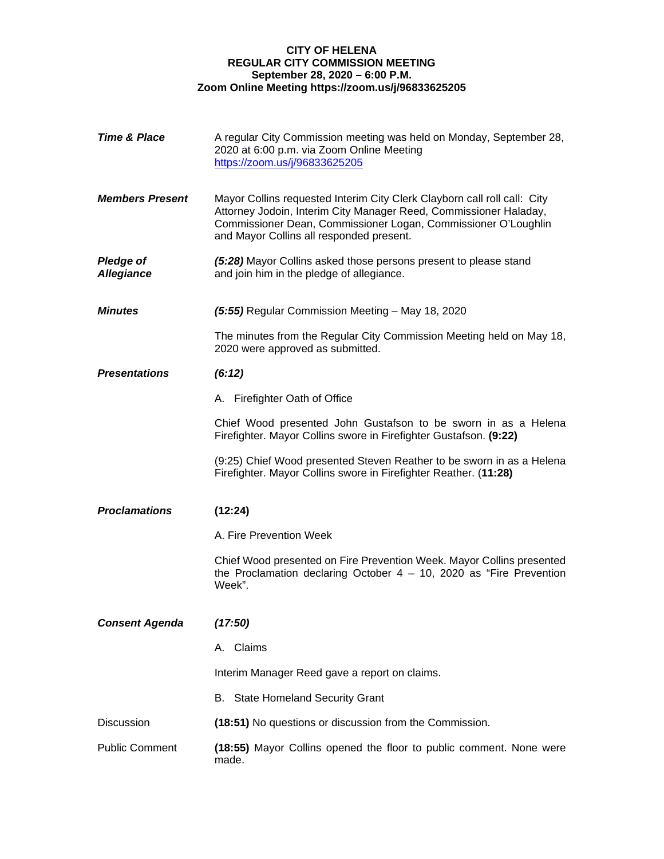## **CITY OF HELENA REGULAR CITY COMMISSION MEETING September 28, 2020 – 6:00 P.M. Zoom Online Meeting https://zoom.us/j/96833625205**

| <b>Time &amp; Place</b>               | A regular City Commission meeting was held on Monday, September 28,<br>2020 at 6:00 p.m. via Zoom Online Meeting<br>https://zoom.us/j/96833625205                                                                                                           |
|---------------------------------------|-------------------------------------------------------------------------------------------------------------------------------------------------------------------------------------------------------------------------------------------------------------|
| <b>Members Present</b>                | Mayor Collins requested Interim City Clerk Clayborn call roll call: City<br>Attorney Jodoin, Interim City Manager Reed, Commissioner Haladay,<br>Commissioner Dean, Commissioner Logan, Commissioner O'Loughlin<br>and Mayor Collins all responded present. |
| <b>Pledge of</b><br><b>Allegiance</b> | (5:28) Mayor Collins asked those persons present to please stand<br>and join him in the pledge of allegiance.                                                                                                                                               |
| <b>Minutes</b>                        | (5:55) Regular Commission Meeting - May 18, 2020                                                                                                                                                                                                            |
|                                       | The minutes from the Regular City Commission Meeting held on May 18,<br>2020 were approved as submitted.                                                                                                                                                    |
| <b>Presentations</b>                  | (6:12)                                                                                                                                                                                                                                                      |
|                                       | A. Firefighter Oath of Office                                                                                                                                                                                                                               |
|                                       | Chief Wood presented John Gustafson to be sworn in as a Helena<br>Firefighter. Mayor Collins swore in Firefighter Gustafson. (9:22)                                                                                                                         |
|                                       | (9:25) Chief Wood presented Steven Reather to be sworn in as a Helena<br>Firefighter. Mayor Collins swore in Firefighter Reather. (11:28)                                                                                                                   |
| <b>Proclamations</b>                  | (12:24)                                                                                                                                                                                                                                                     |
|                                       | A. Fire Prevention Week                                                                                                                                                                                                                                     |
|                                       | Chief Wood presented on Fire Prevention Week. Mayor Collins presented<br>the Proclamation declaring October $4 - 10$ , 2020 as "Fire Prevention<br>Week".                                                                                                   |
| <b>Consent Agenda</b>                 | (17:50)                                                                                                                                                                                                                                                     |
|                                       | A. Claims                                                                                                                                                                                                                                                   |
|                                       | Interim Manager Reed gave a report on claims.                                                                                                                                                                                                               |
|                                       | B. State Homeland Security Grant                                                                                                                                                                                                                            |
| <b>Discussion</b>                     | (18:51) No questions or discussion from the Commission.                                                                                                                                                                                                     |
| <b>Public Comment</b>                 | (18:55) Mayor Collins opened the floor to public comment. None were<br>made.                                                                                                                                                                                |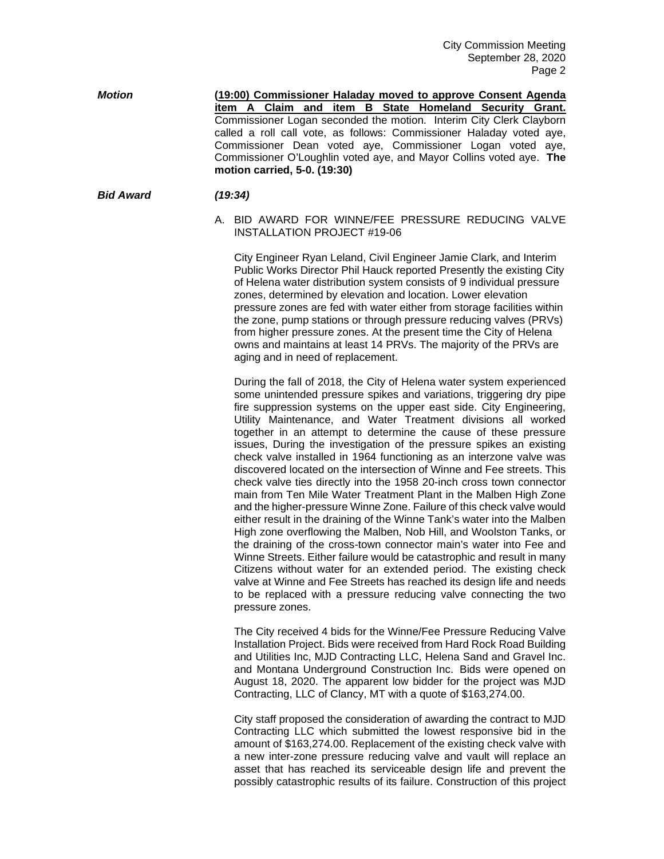| <b>Motion</b> | (19:00) Commissioner Haladay moved to approve Consent Agenda         |
|---------------|----------------------------------------------------------------------|
|               | item A Claim and item B State Homeland Security Grant.               |
|               | Commissioner Logan seconded the motion. Interim City Clerk Clayborn  |
|               | called a roll call vote, as follows: Commissioner Haladay voted aye, |
|               | Commissioner Dean voted aye, Commissioner Logan voted aye,           |
|               | Commissioner O'Loughlin voted aye, and Mayor Collins voted aye. The  |
|               | motion carried, 5-0. (19:30)                                         |

## *Bid Award (19:34)*

A. BID AWARD FOR WINNE/FEE PRESSURE REDUCING VALVE INSTALLATION PROJECT #19-06

City Engineer Ryan Leland, Civil Engineer Jamie Clark, and Interim Public Works Director Phil Hauck reported Presently the existing City of Helena water distribution system consists of 9 individual pressure zones, determined by elevation and location. Lower elevation pressure zones are fed with water either from storage facilities within the zone, pump stations or through pressure reducing valves (PRVs) from higher pressure zones. At the present time the City of Helena owns and maintains at least 14 PRVs. The majority of the PRVs are aging and in need of replacement.

During the fall of 2018, the City of Helena water system experienced some unintended pressure spikes and variations, triggering dry pipe fire suppression systems on the upper east side. City Engineering, Utility Maintenance, and Water Treatment divisions all worked together in an attempt to determine the cause of these pressure issues, During the investigation of the pressure spikes an existing check valve installed in 1964 functioning as an interzone valve was discovered located on the intersection of Winne and Fee streets. This check valve ties directly into the 1958 20-inch cross town connector main from Ten Mile Water Treatment Plant in the Malben High Zone and the higher-pressure Winne Zone. Failure of this check valve would either result in the draining of the Winne Tank's water into the Malben High zone overflowing the Malben, Nob Hill, and Woolston Tanks, or the draining of the cross-town connector main's water into Fee and Winne Streets. Either failure would be catastrophic and result in many Citizens without water for an extended period. The existing check valve at Winne and Fee Streets has reached its design life and needs to be replaced with a pressure reducing valve connecting the two pressure zones.

The City received 4 bids for the Winne/Fee Pressure Reducing Valve Installation Project. Bids were received from Hard Rock Road Building and Utilities Inc, MJD Contracting LLC, Helena Sand and Gravel Inc. and Montana Underground Construction Inc. Bids were opened on August 18, 2020. The apparent low bidder for the project was MJD Contracting, LLC of Clancy, MT with a quote of \$163,274.00.

City staff proposed the consideration of awarding the contract to MJD Contracting LLC which submitted the lowest responsive bid in the amount of \$163,274.00. Replacement of the existing check valve with a new inter-zone pressure reducing valve and vault will replace an asset that has reached its serviceable design life and prevent the possibly catastrophic results of its failure. Construction of this project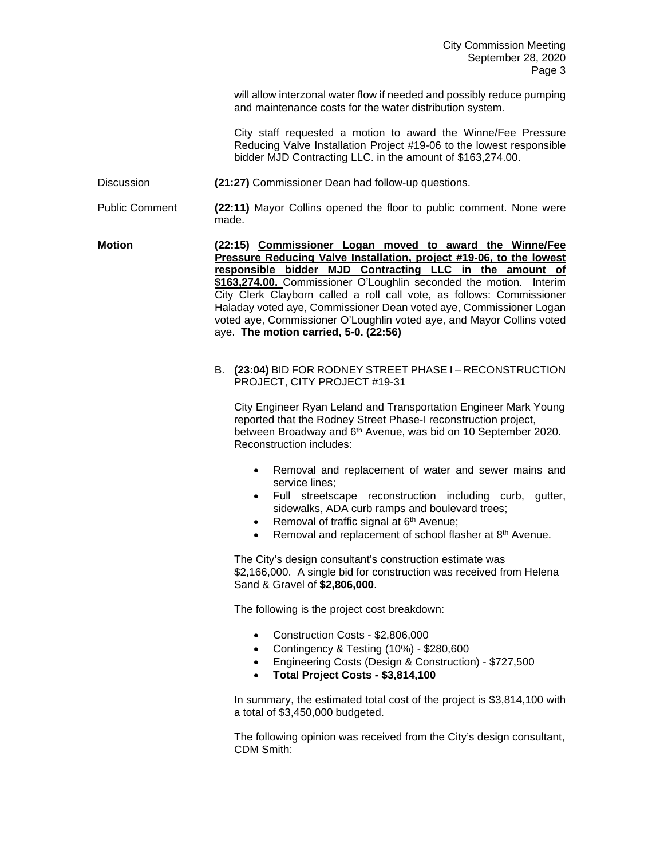will allow interzonal water flow if needed and possibly reduce pumping and maintenance costs for the water distribution system.

City staff requested a motion to award the Winne/Fee Pressure Reducing Valve Installation Project #19-06 to the lowest responsible bidder MJD Contracting LLC. in the amount of \$163,274.00.

Discussion **(21:27)** Commissioner Dean had follow-up questions.

Public Comment **(22:11)** Mayor Collins opened the floor to public comment. None were made.

**Motion (22:15) Commissioner Logan moved to award the Winne/Fee Pressure Reducing Valve Installation, project #19-06, to the lowest responsible bidder MJD Contracting LLC in the amount of \$163,274.00.** Commissioner O'Loughlin seconded the motion. Interim City Clerk Clayborn called a roll call vote, as follows: Commissioner Haladay voted aye, Commissioner Dean voted aye, Commissioner Logan voted aye, Commissioner O'Loughlin voted aye, and Mayor Collins voted aye. **The motion carried, 5-0. (22:56)**

## B. **(23:04)** BID FOR RODNEY STREET PHASE I – RECONSTRUCTION PROJECT, CITY PROJECT #19-31

City Engineer Ryan Leland and Transportation Engineer Mark Young reported that the Rodney Street Phase-I reconstruction project, between Broadway and 6<sup>th</sup> Avenue, was bid on 10 September 2020. Reconstruction includes:

- Removal and replacement of water and sewer mains and service lines;
- Full streetscape reconstruction including curb, gutter, sidewalks, ADA curb ramps and boulevard trees;
- Removal of traffic signal at 6<sup>th</sup> Avenue;
- Removal and replacement of school flasher at 8<sup>th</sup> Avenue.

The City's design consultant's construction estimate was \$2,166,000. A single bid for construction was received from Helena Sand & Gravel of **\$2,806,000**.

The following is the project cost breakdown:

- Construction Costs \$2,806,000
- Contingency & Testing (10%) \$280,600
- Engineering Costs (Design & Construction) \$727,500
- **Total Project Costs - \$3,814,100**

In summary, the estimated total cost of the project is \$3,814,100 with a total of \$3,450,000 budgeted.

The following opinion was received from the City's design consultant, CDM Smith: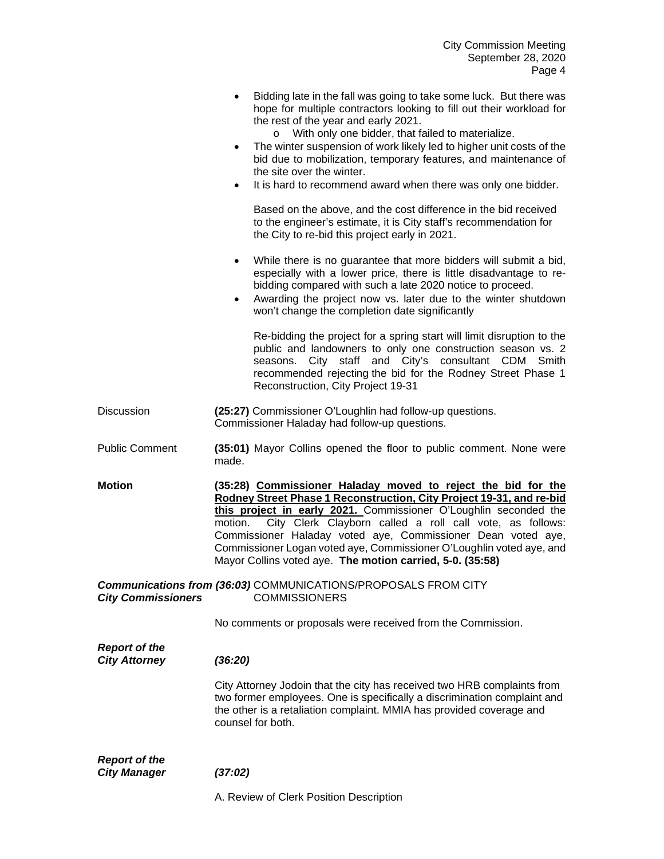|                                              | Bidding late in the fall was going to take some luck. But there was<br>hope for multiple contractors looking to fill out their workload for<br>the rest of the year and early 2021.<br>With only one bidder, that failed to materialize.<br>$\circ$<br>The winter suspension of work likely led to higher unit costs of the<br>٠<br>bid due to mobilization, temporary features, and maintenance of<br>the site over the winter.<br>It is hard to recommend award when there was only one bidder.<br>$\bullet$<br>Based on the above, and the cost difference in the bid received<br>to the engineer's estimate, it is City staff's recommendation for<br>the City to re-bid this project early in 2021.<br>While there is no guarantee that more bidders will submit a bid,<br>$\bullet$<br>especially with a lower price, there is little disadvantage to re-<br>bidding compared with such a late 2020 notice to proceed.<br>Awarding the project now vs. later due to the winter shutdown<br>٠<br>won't change the completion date significantly<br>Re-bidding the project for a spring start will limit disruption to the<br>public and landowners to only one construction season vs. 2<br>City staff and City's consultant CDM Smith<br>seasons.<br>recommended rejecting the bid for the Rodney Street Phase 1<br>Reconstruction, City Project 19-31 |
|----------------------------------------------|--------------------------------------------------------------------------------------------------------------------------------------------------------------------------------------------------------------------------------------------------------------------------------------------------------------------------------------------------------------------------------------------------------------------------------------------------------------------------------------------------------------------------------------------------------------------------------------------------------------------------------------------------------------------------------------------------------------------------------------------------------------------------------------------------------------------------------------------------------------------------------------------------------------------------------------------------------------------------------------------------------------------------------------------------------------------------------------------------------------------------------------------------------------------------------------------------------------------------------------------------------------------------------------------------------------------------------------------------------------|
| Discussion                                   | (25:27) Commissioner O'Loughlin had follow-up questions.<br>Commissioner Haladay had follow-up questions.                                                                                                                                                                                                                                                                                                                                                                                                                                                                                                                                                                                                                                                                                                                                                                                                                                                                                                                                                                                                                                                                                                                                                                                                                                                    |
| <b>Public Comment</b>                        | (35:01) Mayor Collins opened the floor to public comment. None were<br>made.                                                                                                                                                                                                                                                                                                                                                                                                                                                                                                                                                                                                                                                                                                                                                                                                                                                                                                                                                                                                                                                                                                                                                                                                                                                                                 |
| <b>Motion</b>                                | (35:28) Commissioner Haladay moved to reject the bid for the<br>Rodney Street Phase 1 Reconstruction, City Project 19-31, and re-bid<br>this project in early 2021. Commissioner O'Loughlin seconded the<br>City Clerk Clayborn called a roll call vote, as follows:<br>motion.<br>Commissioner Haladay voted aye, Commissioner Dean voted aye,<br>Commissioner Logan voted aye, Commissioner O'Loughlin voted aye, and<br>Mayor Collins voted aye. The motion carried, 5-0. (35:58)                                                                                                                                                                                                                                                                                                                                                                                                                                                                                                                                                                                                                                                                                                                                                                                                                                                                         |
| <b>City Commissioners</b>                    | <b>Communications from (36:03) COMMUNICATIONS/PROPOSALS FROM CITY</b><br><b>COMMISSIONERS</b>                                                                                                                                                                                                                                                                                                                                                                                                                                                                                                                                                                                                                                                                                                                                                                                                                                                                                                                                                                                                                                                                                                                                                                                                                                                                |
|                                              | No comments or proposals were received from the Commission.                                                                                                                                                                                                                                                                                                                                                                                                                                                                                                                                                                                                                                                                                                                                                                                                                                                                                                                                                                                                                                                                                                                                                                                                                                                                                                  |
| <b>Report of the</b><br><b>City Attorney</b> | (36:20)                                                                                                                                                                                                                                                                                                                                                                                                                                                                                                                                                                                                                                                                                                                                                                                                                                                                                                                                                                                                                                                                                                                                                                                                                                                                                                                                                      |
|                                              | City Attorney Jodoin that the city has received two HRB complaints from<br>two former employees. One is specifically a discrimination complaint and<br>the other is a retaliation complaint. MMIA has provided coverage and<br>counsel for both.                                                                                                                                                                                                                                                                                                                                                                                                                                                                                                                                                                                                                                                                                                                                                                                                                                                                                                                                                                                                                                                                                                             |
| <b>Report of the</b><br><b>City Manager</b>  | (37:02)                                                                                                                                                                                                                                                                                                                                                                                                                                                                                                                                                                                                                                                                                                                                                                                                                                                                                                                                                                                                                                                                                                                                                                                                                                                                                                                                                      |
|                                              | A. Review of Clerk Position Description                                                                                                                                                                                                                                                                                                                                                                                                                                                                                                                                                                                                                                                                                                                                                                                                                                                                                                                                                                                                                                                                                                                                                                                                                                                                                                                      |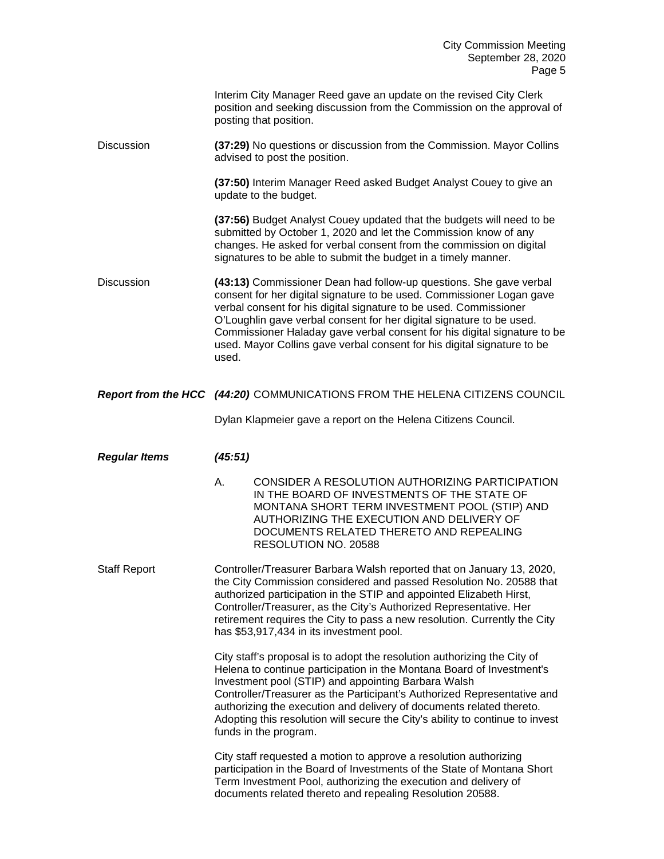|                      | Interim City Manager Reed gave an update on the revised City Clerk<br>position and seeking discussion from the Commission on the approval of<br>posting that position.                                                                                                                                                                                                                                                                                                |
|----------------------|-----------------------------------------------------------------------------------------------------------------------------------------------------------------------------------------------------------------------------------------------------------------------------------------------------------------------------------------------------------------------------------------------------------------------------------------------------------------------|
| <b>Discussion</b>    | (37:29) No questions or discussion from the Commission. Mayor Collins<br>advised to post the position.                                                                                                                                                                                                                                                                                                                                                                |
|                      | (37:50) Interim Manager Reed asked Budget Analyst Couey to give an<br>update to the budget.                                                                                                                                                                                                                                                                                                                                                                           |
|                      | (37:56) Budget Analyst Couey updated that the budgets will need to be<br>submitted by October 1, 2020 and let the Commission know of any<br>changes. He asked for verbal consent from the commission on digital<br>signatures to be able to submit the budget in a timely manner.                                                                                                                                                                                     |
| <b>Discussion</b>    | (43:13) Commissioner Dean had follow-up questions. She gave verbal<br>consent for her digital signature to be used. Commissioner Logan gave<br>verbal consent for his digital signature to be used. Commissioner<br>O'Loughlin gave verbal consent for her digital signature to be used.<br>Commissioner Haladay gave verbal consent for his digital signature to be<br>used. Mayor Collins gave verbal consent for his digital signature to be<br>used.              |
|                      | Report from the HCC (44:20) COMMUNICATIONS FROM THE HELENA CITIZENS COUNCIL                                                                                                                                                                                                                                                                                                                                                                                           |
|                      | Dylan Klapmeier gave a report on the Helena Citizens Council.                                                                                                                                                                                                                                                                                                                                                                                                         |
| <b>Regular Items</b> | (45:51)                                                                                                                                                                                                                                                                                                                                                                                                                                                               |
|                      | Α.<br>CONSIDER A RESOLUTION AUTHORIZING PARTICIPATION<br>IN THE BOARD OF INVESTMENTS OF THE STATE OF<br>MONTANA SHORT TERM INVESTMENT POOL (STIP) AND<br>AUTHORIZING THE EXECUTION AND DELIVERY OF<br>DOCUMENTS RELATED THERETO AND REPEALING<br>RESOLUTION NO. 20588                                                                                                                                                                                                 |
| <b>Staff Report</b>  | Controller/Treasurer Barbara Walsh reported that on January 13, 2020,<br>the City Commission considered and passed Resolution No. 20588 that<br>authorized participation in the STIP and appointed Elizabeth Hirst,<br>Controller/Treasurer, as the City's Authorized Representative. Her<br>retirement requires the City to pass a new resolution. Currently the City<br>has \$53,917,434 in its investment pool.                                                    |
|                      | City staff's proposal is to adopt the resolution authorizing the City of<br>Helena to continue participation in the Montana Board of Investment's<br>Investment pool (STIP) and appointing Barbara Walsh<br>Controller/Treasurer as the Participant's Authorized Representative and<br>authorizing the execution and delivery of documents related thereto.<br>Adopting this resolution will secure the City's ability to continue to invest<br>funds in the program. |
|                      | City staff requested a motion to approve a resolution authorizing<br>participation in the Board of Investments of the State of Montana Short<br>Term Investment Pool, authorizing the execution and delivery of<br>documents related thereto and repealing Resolution 20588.                                                                                                                                                                                          |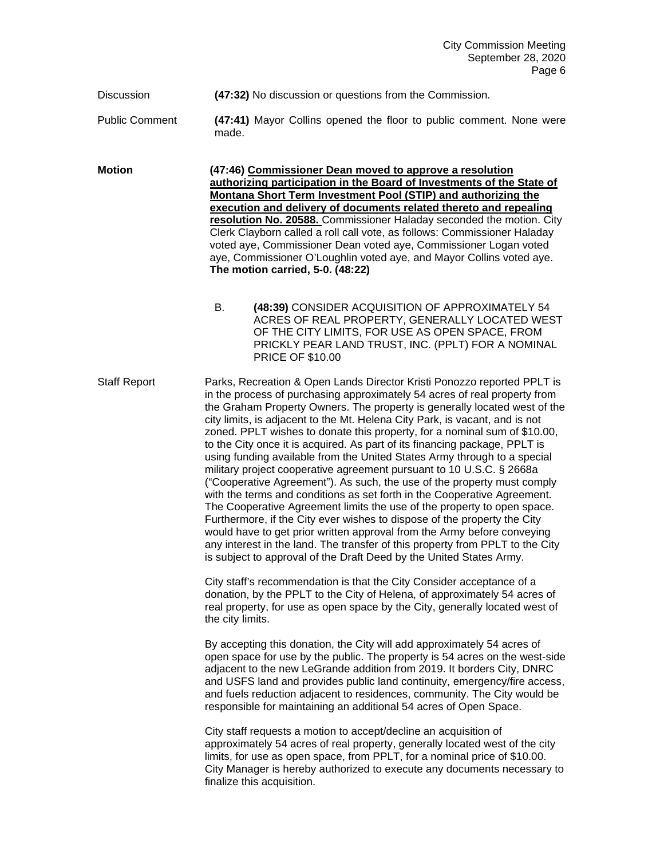Discussion **(47:32)** No discussion or questions from the Commission.

Public Comment **(47:41)** Mayor Collins opened the floor to public comment. None were made.

**Motion (47:46) Commissioner Dean moved to approve a resolution authorizing participation in the Board of Investments of the State of Montana Short Term Investment Pool (STIP) and authorizing the execution and delivery of documents related thereto and repealing resolution No. 20588.** Commissioner Haladay seconded the motion. City Clerk Clayborn called a roll call vote, as follows: Commissioner Haladay voted aye, Commissioner Dean voted aye, Commissioner Logan voted aye, Commissioner O'Loughlin voted aye, and Mayor Collins voted aye. **The motion carried, 5-0. (48:22)**

> B. **(48:39)** CONSIDER ACQUISITION OF APPROXIMATELY 54 ACRES OF REAL PROPERTY, GENERALLY LOCATED WEST OF THE CITY LIMITS, FOR USE AS OPEN SPACE, FROM PRICKLY PEAR LAND TRUST, INC. (PPLT) FOR A NOMINAL PRICE OF \$10.00

Staff Report Parks, Recreation & Open Lands Director Kristi Ponozzo reported PPLT is in the process of purchasing approximately 54 acres of real property from the Graham Property Owners. The property is generally located west of the city limits, is adjacent to the Mt. Helena City Park, is vacant, and is not zoned. PPLT wishes to donate this property, for a nominal sum of \$10.00, to the City once it is acquired. As part of its financing package, PPLT is using funding available from the United States Army through to a special military project cooperative agreement pursuant to 10 U.S.C. § 2668a ("Cooperative Agreement"). As such, the use of the property must comply with the terms and conditions as set forth in the Cooperative Agreement. The Cooperative Agreement limits the use of the property to open space. Furthermore, if the City ever wishes to dispose of the property the City would have to get prior written approval from the Army before conveying any interest in the land. The transfer of this property from PPLT to the City is subject to approval of the Draft Deed by the United States Army.

> City staff's recommendation is that the City Consider acceptance of a donation, by the PPLT to the City of Helena, of approximately 54 acres of real property, for use as open space by the City, generally located west of the city limits.

By accepting this donation, the City will add approximately 54 acres of open space for use by the public. The property is 54 acres on the west-side adjacent to the new LeGrande addition from 2019. It borders City, DNRC and USFS land and provides public land continuity, emergency/fire access, and fuels reduction adjacent to residences, community. The City would be responsible for maintaining an additional 54 acres of Open Space.

City staff requests a motion to accept/decline an acquisition of approximately 54 acres of real property, generally located west of the city limits, for use as open space, from PPLT, for a nominal price of \$10.00. City Manager is hereby authorized to execute any documents necessary to finalize this acquisition.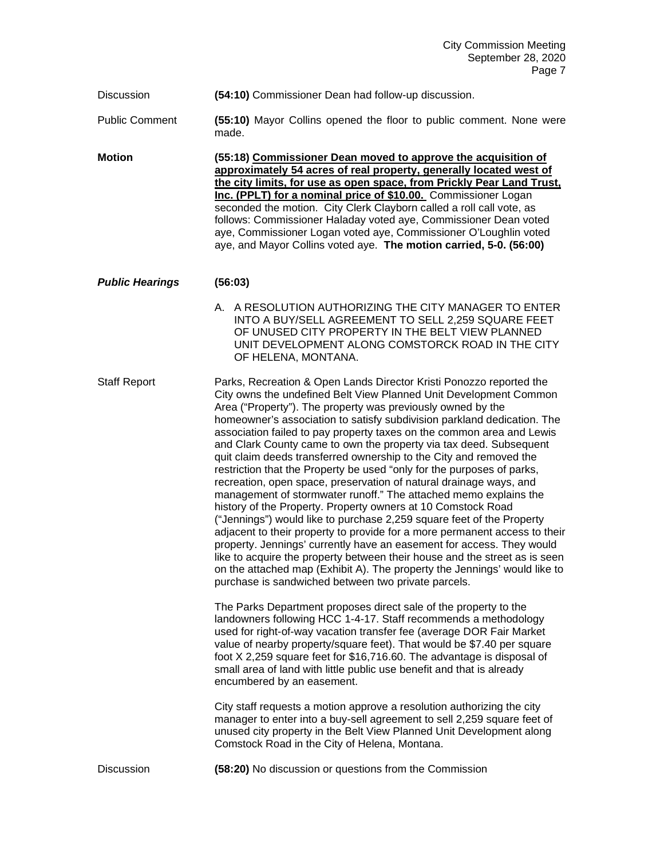Discussion **(54:10)** Commissioner Dean had follow-up discussion.

Public Comment **(55:10)** Mayor Collins opened the floor to public comment. None were made.

**Motion (55:18) Commissioner Dean moved to approve the acquisition of approximately 54 acres of real property, generally located west of the city limits, for use as open space, from Prickly Pear Land Trust, Inc. (PPLT) for a nominal price of \$10.00.** Commissioner Logan seconded the motion. City Clerk Clayborn called a roll call vote, as follows: Commissioner Haladay voted aye, Commissioner Dean voted aye, Commissioner Logan voted aye, Commissioner O'Loughlin voted aye, and Mayor Collins voted aye. **The motion carried, 5-0. (56:00)**

## *Public Hearings* **(56:03)**

A. A RESOLUTION AUTHORIZING THE CITY MANAGER TO ENTER INTO A BUY/SELL AGREEMENT TO SELL 2,259 SQUARE FEET OF UNUSED CITY PROPERTY IN THE BELT VIEW PLANNED UNIT DEVELOPMENT ALONG COMSTORCK ROAD IN THE CITY OF HELENA, MONTANA.

Staff Report Parks, Recreation & Open Lands Director Kristi Ponozzo reported the City owns the undefined Belt View Planned Unit Development Common Area ("Property"). The property was previously owned by the homeowner's association to satisfy subdivision parkland dedication. The association failed to pay property taxes on the common area and Lewis and Clark County came to own the property via tax deed. Subsequent quit claim deeds transferred ownership to the City and removed the restriction that the Property be used "only for the purposes of parks, recreation, open space, preservation of natural drainage ways, and management of stormwater runoff." The attached memo explains the history of the Property. Property owners at 10 Comstock Road ("Jennings") would like to purchase 2,259 square feet of the Property adjacent to their property to provide for a more permanent access to their property. Jennings' currently have an easement for access. They would like to acquire the property between their house and the street as is seen on the attached map (Exhibit A). The property the Jennings' would like to purchase is sandwiched between two private parcels.

> The Parks Department proposes direct sale of the property to the landowners following HCC 1-4-17. Staff recommends a methodology used for right-of-way vacation transfer fee (average DOR Fair Market value of nearby property/square feet). That would be \$7.40 per square foot X 2,259 square feet for \$16,716.60. The advantage is disposal of small area of land with little public use benefit and that is already encumbered by an easement.

> City staff requests a motion approve a resolution authorizing the city manager to enter into a buy-sell agreement to sell 2,259 square feet of unused city property in the Belt View Planned Unit Development along Comstock Road in the City of Helena, Montana.

Discussion **(58:20)** No discussion or questions from the Commission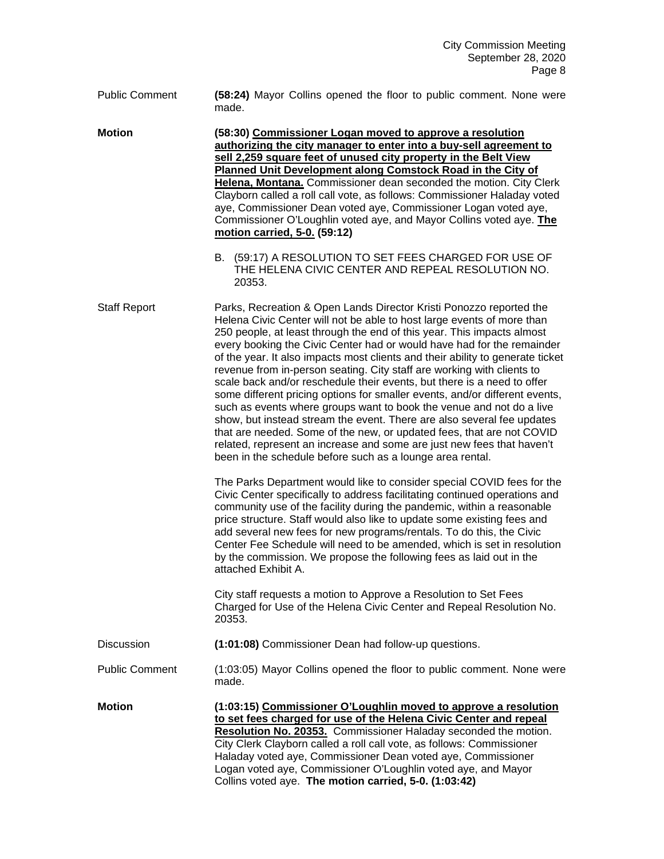Public Comment **(58:24)** Mayor Collins opened the floor to public comment. None were made.

**Motion (58:30) Commissioner Logan moved to approve a resolution authorizing the city manager to enter into a buy-sell agreement to sell 2,259 square feet of unused city property in the Belt View Planned Unit Development along Comstock Road in the City of Helena, Montana.** Commissioner dean seconded the motion. City Clerk Clayborn called a roll call vote, as follows: Commissioner Haladay voted aye, Commissioner Dean voted aye, Commissioner Logan voted aye, Commissioner O'Loughlin voted aye, and Mayor Collins voted aye. **The motion carried, 5-0. (59:12)**

> B. (59:17) A RESOLUTION TO SET FEES CHARGED FOR USE OF THE HELENA CIVIC CENTER AND REPEAL RESOLUTION NO. 20353.

Staff Report Parks, Recreation & Open Lands Director Kristi Ponozzo reported the Helena Civic Center will not be able to host large events of more than 250 people, at least through the end of this year. This impacts almost every booking the Civic Center had or would have had for the remainder of the year. It also impacts most clients and their ability to generate ticket revenue from in-person seating. City staff are working with clients to scale back and/or reschedule their events, but there is a need to offer some different pricing options for smaller events, and/or different events, such as events where groups want to book the venue and not do a live show, but instead stream the event. There are also several fee updates that are needed. Some of the new, or updated fees, that are not COVID related, represent an increase and some are just new fees that haven't been in the schedule before such as a lounge area rental.

> The Parks Department would like to consider special COVID fees for the Civic Center specifically to address facilitating continued operations and community use of the facility during the pandemic, within a reasonable price structure. Staff would also like to update some existing fees and add several new fees for new programs/rentals. To do this, the Civic Center Fee Schedule will need to be amended, which is set in resolution by the commission. We propose the following fees as laid out in the attached Exhibit A.

City staff requests a motion to Approve a Resolution to Set Fees Charged for Use of the Helena Civic Center and Repeal Resolution No. 20353.

Discussion **(1:01:08)** Commissioner Dean had follow-up questions.

Public Comment (1:03:05) Mayor Collins opened the floor to public comment. None were made.

**Motion (1:03:15) Commissioner O'Loughlin moved to approve a resolution to set fees charged for use of the Helena Civic Center and repeal Resolution No. 20353.** Commissioner Haladay seconded the motion. City Clerk Clayborn called a roll call vote, as follows: Commissioner Haladay voted aye, Commissioner Dean voted aye, Commissioner Logan voted aye, Commissioner O'Loughlin voted aye, and Mayor Collins voted aye. **The motion carried, 5-0. (1:03:42)**